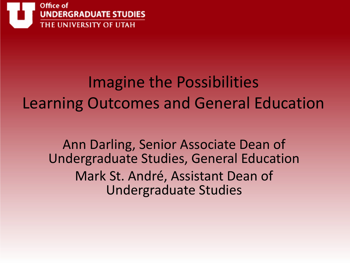

#### Imagine the Possibilities Learning Outcomes and General Education

Ann Darling, Senior Associate Dean of Undergraduate Studies, General Education Mark St. André, Assistant Dean of Undergraduate Studies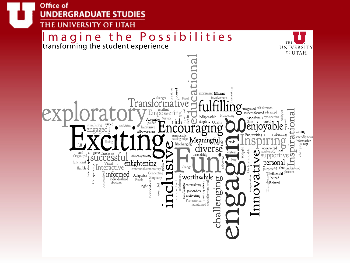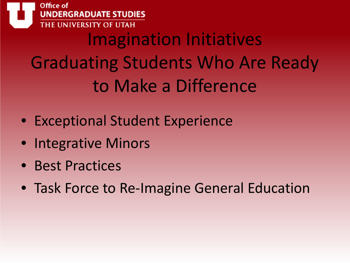UNDERGRADUATE STUDIES NIVERSITY OF U Imagination Initiatives Graduating Students Who Are Ready to Make a Difference

- Exceptional Student Experience
- Integrative Minors
- Best Practices

Office of

• Task Force to Re-Imagine General Education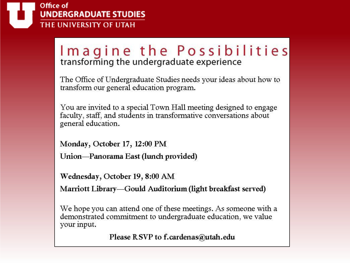

# Imagine the Possibilities

The Office of Undergraduate Studies needs your ideas about how to transform our general education program.

You are invited to a special Town Hall meeting designed to engage faculty, staff, and students in transformative conversations about general education.

Monday, October 17, 12:00 PM Union—Panorama East (lunch provided)

Wednesday, October 19, 8:00 AM

Marriott Library—Gould Auditorium (light breakfast served)

We hope you can attend one of these meetings. As someone with a demonstrated commitment to undergraduate education, we value your input.

Please RSVP to f.cardenas@utah.edu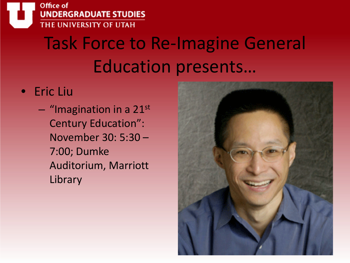

### Task Force to Re-Imagine General Education presents…

#### • Eric Liu

 $-$  "Imagination in a 21st Century Education": November 30: 5:30 – 7:00; Dumke Auditorium, Marriott **Library** 

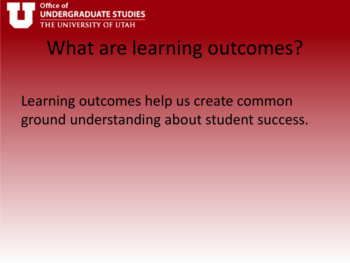

### What are learning outcomes?

Learning outcomes help us create common ground understanding about student success.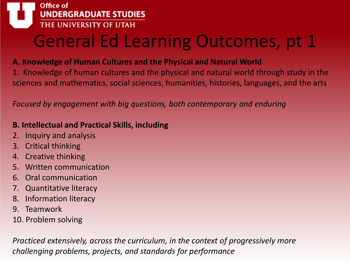

### General Ed Learning Outcomes, pt 1

#### **A. Knowledge of Human Cultures and the Physical and Natural World**

1. Knowledge of human cultures and the physical and natural world through study in the sciences and mathematics, social sciences, humanities, histories, languages, and the arts

*Focused by engagement with big questions, both contemporary and enduring*

#### **B. Intellectual and Practical Skills, including**

- 2. Inquiry and analysis
- 3. Critical thinking
- 4. Creative thinking
- 5. Written communication
- 6. Oral communication
- 7. Quantitative literacy
- 8. Information literacy
- 9. Teamwork
- 10. Problem solving

*Practiced extensively, across the curriculum, in the context of progressively more challenging problems, projects, and standards for performance*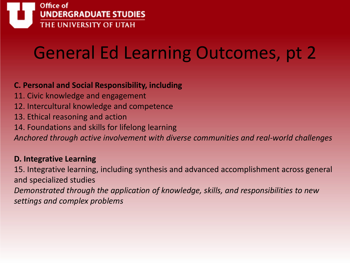

### General Ed Learning Outcomes, pt 2

#### **C. Personal and Social Responsibility, including**

- 11. Civic knowledge and engagement
- 12. Intercultural knowledge and competence
- 13. Ethical reasoning and action
- 14. Foundations and skills for lifelong learning

*Anchored through active involvement with diverse communities and real-world challenges*

#### **D. Integrative Learning**

15. Integrative learning, including synthesis and advanced accomplishment across general and specialized studies

*Demonstrated through the application of knowledge, skills, and responsibilities to new settings and complex problems*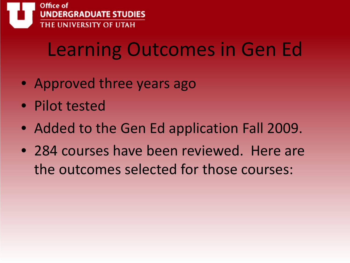

### Learning Outcomes in Gen Ed

- Approved three years ago
- Pilot tested
- Added to the Gen Ed application Fall 2009.
- 284 courses have been reviewed. Here are the outcomes selected for those courses: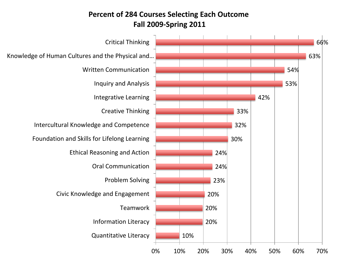#### **Percent of 284 Courses Selecting Each Outcome Fall 2009-Spring 2011**

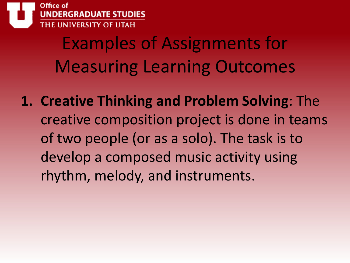

Examples of Assignments for Measuring Learning Outcomes

**1. Creative Thinking and Problem Solving**: The creative composition project is done in teams of two people (or as a solo). The task is to develop a composed music activity using rhythm, melody, and instruments.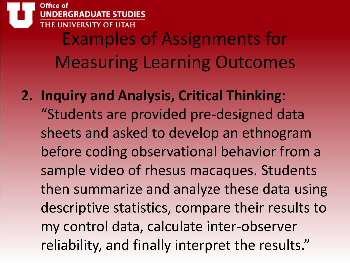

Examples of Assignments for Measuring Learning Outcomes

**2. Inquiry and Analysis, Critical Thinking**: "Students are provided pre-designed data sheets and asked to develop an ethnogram before coding observational behavior from a sample video of rhesus macaques. Students then summarize and analyze these data using descriptive statistics, compare their results to my control data, calculate inter-observer reliability, and finally interpret the results."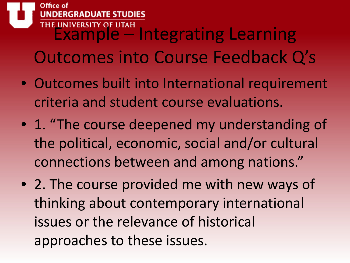#### **GRADUATE STUDIES** THE UNIVERSITY OF UTAH<br>
EXAMPLE – Integrating Learning Outcomes into Course Feedback Q's

- Outcomes built into International requirement criteria and student course evaluations.
- 1. "The course deepened my understanding of the political, economic, social and/or cultural connections between and among nations."
- 2. The course provided me with new ways of thinking about contemporary international issues or the relevance of historical approaches to these issues.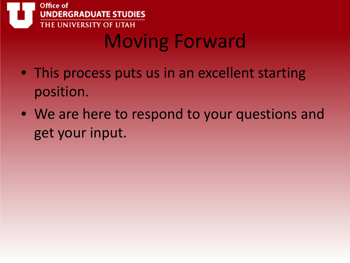

## Moving Forward

- This process puts us in an excellent starting position.
- We are here to respond to your questions and get your input.